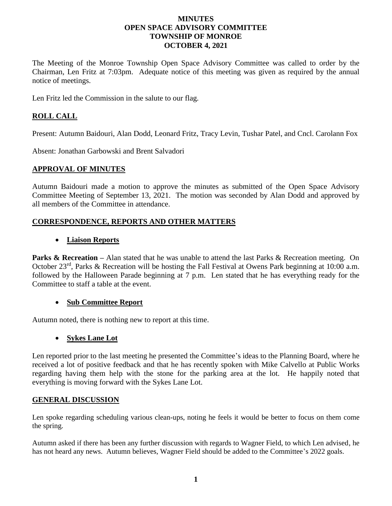### **MINUTES OPEN SPACE ADVISORY COMMITTEE TOWNSHIP OF MONROE OCTOBER 4, 2021**

The Meeting of the Monroe Township Open Space Advisory Committee was called to order by the Chairman, Len Fritz at 7:03pm. Adequate notice of this meeting was given as required by the annual notice of meetings.

Len Fritz led the Commission in the salute to our flag.

# **ROLL CALL**

Present: Autumn Baidouri, Alan Dodd, Leonard Fritz, Tracy Levin, Tushar Patel, and Cncl. Carolann Fox

Absent: Jonathan Garbowski and Brent Salvadori

### **APPROVAL OF MINUTES**

Autumn Baidouri made a motion to approve the minutes as submitted of the Open Space Advisory Committee Meeting of September 13, 2021. The motion was seconded by Alan Dodd and approved by all members of the Committee in attendance.

## **CORRESPONDENCE, REPORTS AND OTHER MATTERS**

### • **Liaison Reports**

**Parks & Recreation** – Alan stated that he was unable to attend the last Parks & Recreation meeting. On October 23rd, Parks & Recreation will be hosting the Fall Festival at Owens Park beginning at 10:00 a.m. followed by the Halloween Parade beginning at 7 p.m. Len stated that he has everything ready for the Committee to staff a table at the event.

## • **Sub Committee Report**

Autumn noted, there is nothing new to report at this time.

#### • **Sykes Lane Lot**

Len reported prior to the last meeting he presented the Committee's ideas to the Planning Board, where he received a lot of positive feedback and that he has recently spoken with Mike Calvello at Public Works regarding having them help with the stone for the parking area at the lot. He happily noted that everything is moving forward with the Sykes Lane Lot.

#### **GENERAL DISCUSSION**

Len spoke regarding scheduling various clean-ups, noting he feels it would be better to focus on them come the spring.

Autumn asked if there has been any further discussion with regards to Wagner Field, to which Len advised, he has not heard any news. Autumn believes, Wagner Field should be added to the Committee's 2022 goals.